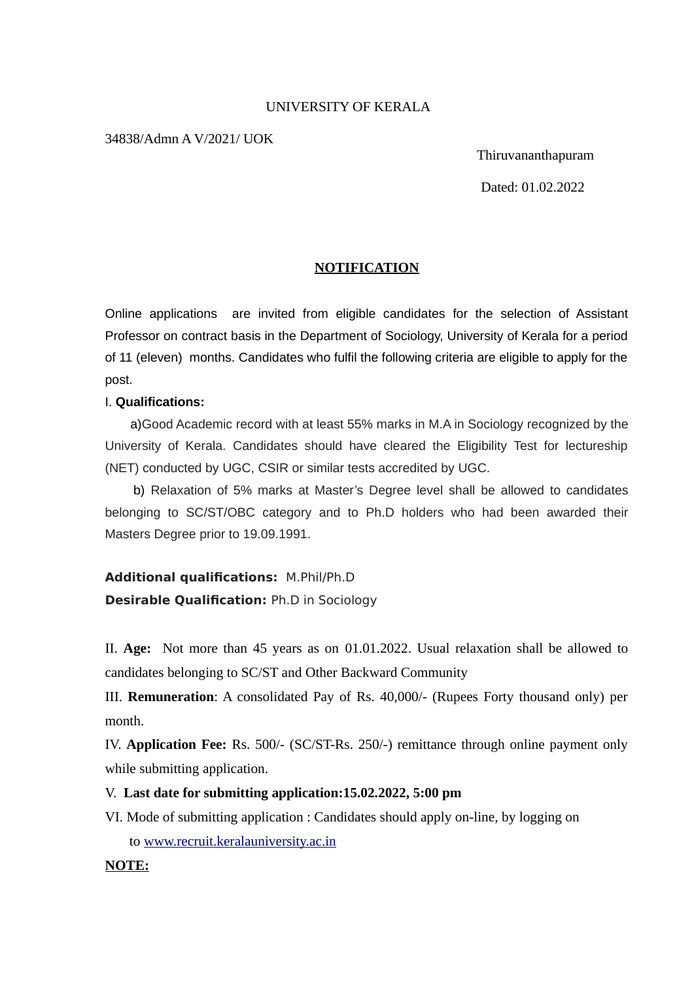# UNIVERSITY OF KERALA

### 34838/Admn A V/2021/ UOK

Thiruvananthapuram

Dated: 01.02.2022

# **NOTIFICATION**

Online applications are invited from eligible candidates for the selection of Assistant Professor on contract basis in the Department of Sociology, University of Kerala for a period of 11 (eleven) months. Candidates who fulfil the following criteria are eligible to apply for the post.

#### I. **Qualifications:**

 a)Good Academic record with at least 55% marks in M.A in Sociology recognized by the University of Kerala. Candidates should have cleared the Eligibility Test for lectureship (NET) conducted by UGC, CSIR or similar tests accredited by UGC.

 b) Relaxation of 5% marks at Master's Degree level shall be allowed to candidates belonging to SC/ST/OBC category and to Ph.D holders who had been awarded their Masters Degree prior to 19.09.1991.

**Additional qualifications:** M.Phil/Ph.D **Desirable Qualification:** Ph.D in Sociology

II. **Age:** Not more than 45 years as on 01.01.2022. Usual relaxation shall be allowed to candidates belonging to SC/ST and Other Backward Community

III. **Remuneration**: A consolidated Pay of Rs. 40,000/- (Rupees Forty thousand only) per month.

IV. **Application Fee:** Rs. 500/- (SC/ST-Rs. 250/-) remittance through online payment only while submitting application.

# V. **Last date for submitting application:15.02.2022, 5:00 pm**

VI. Mode of submitting application : Candidates should apply on-line, by logging on to [www.recruit.keralauniversity.ac.in](http://www.recruit.keralauniversity.ac.in/)

#### **NOTE:**